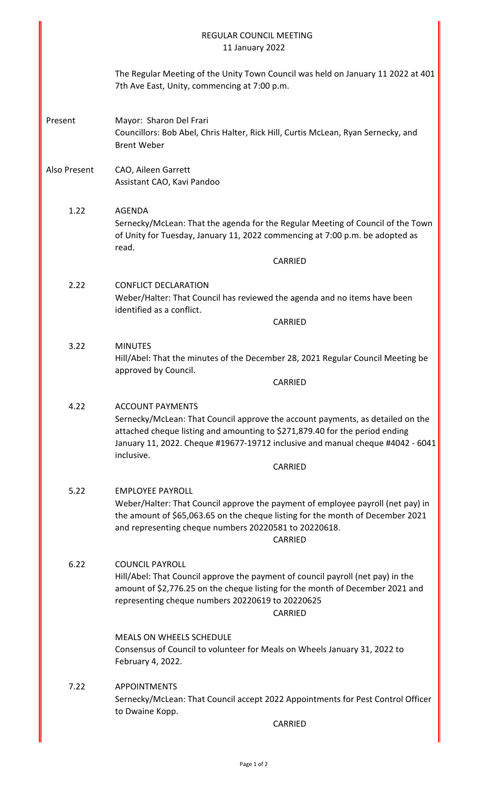|              | <b>REGULAR COUNCIL MEETING</b><br>11 January 2022                                                                                                                                                                                                                                                   |
|--------------|-----------------------------------------------------------------------------------------------------------------------------------------------------------------------------------------------------------------------------------------------------------------------------------------------------|
|              | The Regular Meeting of the Unity Town Council was held on January 11 2022 at 401<br>7th Ave East, Unity, commencing at 7:00 p.m.                                                                                                                                                                    |
| Present      | Mayor: Sharon Del Frari<br>Councillors: Bob Abel, Chris Halter, Rick Hill, Curtis McLean, Ryan Sernecky, and<br><b>Brent Weber</b>                                                                                                                                                                  |
| Also Present | CAO, Aileen Garrett<br>Assistant CAO, Kavi Pandoo                                                                                                                                                                                                                                                   |
| 1.22         | <b>AGENDA</b><br>Sernecky/McLean: That the agenda for the Regular Meeting of Council of the Town<br>of Unity for Tuesday, January 11, 2022 commencing at 7:00 p.m. be adopted as<br>read.<br>CARRIED                                                                                                |
| 2.22         | <b>CONFLICT DECLARATION</b><br>Weber/Halter: That Council has reviewed the agenda and no items have been<br>identified as a conflict.<br>CARRIED                                                                                                                                                    |
| 3.22         | <b>MINUTES</b><br>Hill/Abel: That the minutes of the December 28, 2021 Regular Council Meeting be<br>approved by Council.<br>CARRIED                                                                                                                                                                |
| 4.22         | <b>ACCOUNT PAYMENTS</b><br>Sernecky/McLean: That Council approve the account payments, as detailed on the<br>attached cheque listing and amounting to \$271,879.40 for the period ending<br>January 11, 2022. Cheque #19677-19712 inclusive and manual cheque #4042 - 6041<br>inclusive.<br>CARRIED |
| 5.22         | <b>EMPLOYEE PAYROLL</b><br>Weber/Halter: That Council approve the payment of employee payroll (net pay) in<br>the amount of \$65,063.65 on the cheque listing for the month of December 2021<br>and representing cheque numbers 20220581 to 20220618.<br>CARRIED                                    |
| 6.22         | <b>COUNCIL PAYROLL</b><br>Hill/Abel: That Council approve the payment of council payroll (net pay) in the<br>amount of \$2,776.25 on the cheque listing for the month of December 2021 and<br>representing cheque numbers 20220619 to 20220625<br>CARRIED                                           |
|              | <b>MEALS ON WHEELS SCHEDULE</b><br>Consensus of Council to volunteer for Meals on Wheels January 31, 2022 to<br>February 4, 2022.                                                                                                                                                                   |
| 7.22         | <b>APPOINTMENTS</b><br>Sernecky/McLean: That Council accept 2022 Appointments for Pest Control Officer<br>to Dwaine Kopp.<br>CARRIED                                                                                                                                                                |